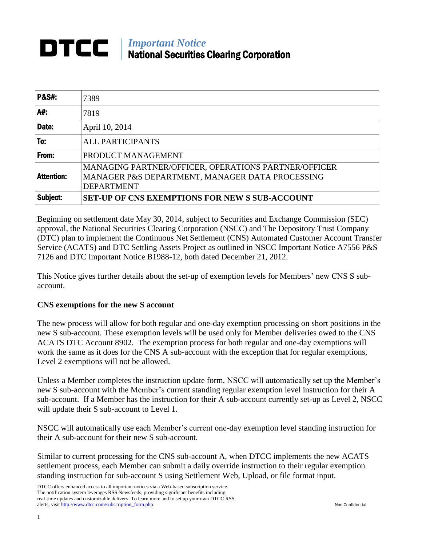## *Important Notice* DTCC National Securities Clearing Corporation

| <b>P&amp;S#.</b>  | 7389                                                                                                                         |
|-------------------|------------------------------------------------------------------------------------------------------------------------------|
| A#:               | 7819                                                                                                                         |
| Date:             | April 10, 2014                                                                                                               |
| To:               | <b>ALL PARTICIPANTS</b>                                                                                                      |
| From:             | PRODUCT MANAGEMENT                                                                                                           |
| <b>Attention:</b> | MANAGING PARTNER/OFFICER, OPERATIONS PARTNER/OFFICER<br>MANAGER P&S DEPARTMENT, MANAGER DATA PROCESSING<br><b>DEPARTMENT</b> |
| Subject:          | <b>SET-UP OF CNS EXEMPTIONS FOR NEW S SUB-ACCOUNT</b>                                                                        |

Beginning on settlement date May 30, 2014, subject to Securities and Exchange Commission (SEC) approval, the National Securities Clearing Corporation (NSCC) and The Depository Trust Company (DTC) plan to implement the Continuous Net Settlement (CNS) Automated Customer Account Transfer Service (ACATS) and DTC Settling Assets Project as outlined in NSCC Important Notice A7556 P&S 7126 and DTC Important Notice B1988-12, both dated December 21, 2012.

This Notice gives further details about the set-up of exemption levels for Members' new CNS S subaccount.

## **CNS exemptions for the new S account**

The new process will allow for both regular and one-day exemption processing on short positions in the new S sub-account. These exemption levels will be used only for Member deliveries owed to the CNS ACATS DTC Account 8902. The exemption process for both regular and one-day exemptions will work the same as it does for the CNS A sub-account with the exception that for regular exemptions, Level 2 exemptions will not be allowed.

Unless a Member completes the instruction update form, NSCC will automatically set up the Member's new S sub-account with the Member's current standing regular exemption level instruction for their A sub-account. If a Member has the instruction for their A sub-account currently set-up as Level 2, NSCC will update their S sub-account to Level 1.

NSCC will automatically use each Member's current one-day exemption level standing instruction for their A sub-account for their new S sub-account.

Similar to current processing for the CNS sub-account A, when DTCC implements the new ACATS settlement process, each Member can submit a daily override instruction to their regular exemption standing instruction for sub-account S using Settlement Web, Upload, or file format input.